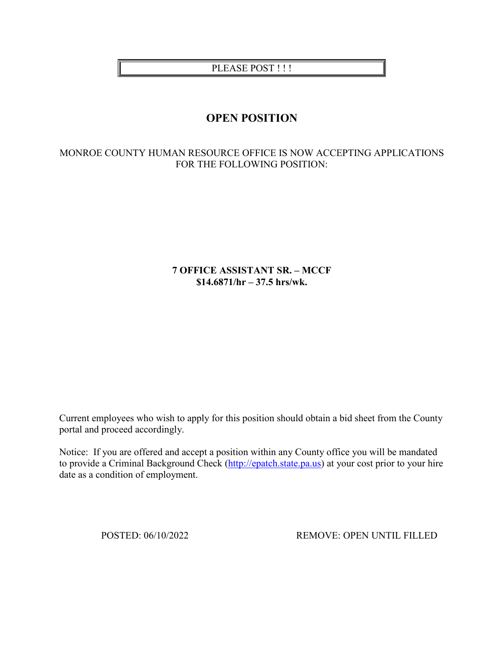# PLEASE POST !!!

# **OPEN POSITION**

# MONROE COUNTY HUMAN RESOURCE OFFICE IS NOW ACCEPTING APPLICATIONS FOR THE FOLLOWING POSITION:

## **7 OFFICE ASSISTANT SR. – MCCF \$14.6871/hr – 37.5 hrs/wk.**

Current employees who wish to apply for this position should obtain a bid sheet from the County portal and proceed accordingly.

Notice: If you are offered and accept a position within any County office you will be mandated to provide a Criminal Background Check [\(http://epatch.state.pa.us\)](http://epatch.state.pa.us/) at your cost prior to your hire date as a condition of employment.

POSTED: 06/10/2022 REMOVE: OPEN UNTIL FILLED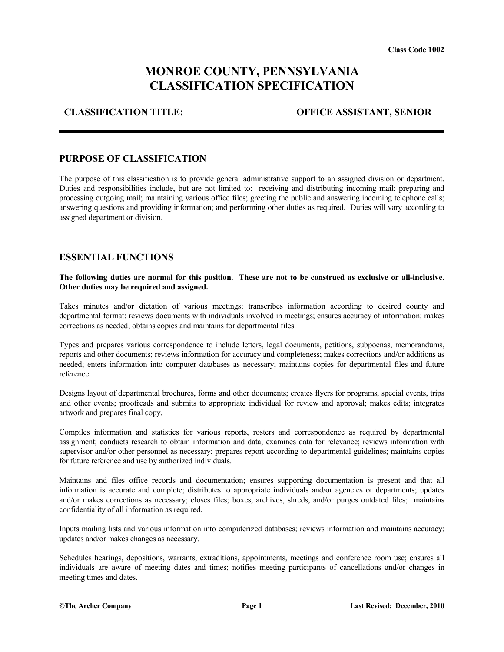# **MONROE COUNTY, PENNSYLVANIA CLASSIFICATION SPECIFICATION**

### **CLASSIFICATION TITLE: OFFICE ASSISTANT, SENIOR**

#### **PURPOSE OF CLASSIFICATION**

The purpose of this classification is to provide general administrative support to an assigned division or department. Duties and responsibilities include, but are not limited to: receiving and distributing incoming mail; preparing and processing outgoing mail; maintaining various office files; greeting the public and answering incoming telephone calls; answering questions and providing information; and performing other duties as required. Duties will vary according to assigned department or division.

#### **ESSENTIAL FUNCTIONS**

**The following duties are normal for this position. These are not to be construed as exclusive or all-inclusive. Other duties may be required and assigned.**

Takes minutes and/or dictation of various meetings; transcribes information according to desired county and departmental format; reviews documents with individuals involved in meetings; ensures accuracy of information; makes corrections as needed; obtains copies and maintains for departmental files.

Types and prepares various correspondence to include letters, legal documents, petitions, subpoenas, memorandums, reports and other documents; reviews information for accuracy and completeness; makes corrections and/or additions as needed; enters information into computer databases as necessary; maintains copies for departmental files and future reference.

Designs layout of departmental brochures, forms and other documents; creates flyers for programs, special events, trips and other events; proofreads and submits to appropriate individual for review and approval; makes edits; integrates artwork and prepares final copy.

Compiles information and statistics for various reports, rosters and correspondence as required by departmental assignment; conducts research to obtain information and data; examines data for relevance; reviews information with supervisor and/or other personnel as necessary; prepares report according to departmental guidelines; maintains copies for future reference and use by authorized individuals.

Maintains and files office records and documentation; ensures supporting documentation is present and that all information is accurate and complete; distributes to appropriate individuals and/or agencies or departments; updates and/or makes corrections as necessary; closes files; boxes, archives, shreds, and/or purges outdated files; maintains confidentiality of all information as required.

Inputs mailing lists and various information into computerized databases; reviews information and maintains accuracy; updates and/or makes changes as necessary.

Schedules hearings, depositions, warrants, extraditions, appointments, meetings and conference room use; ensures all individuals are aware of meeting dates and times; notifies meeting participants of cancellations and/or changes in meeting times and dates.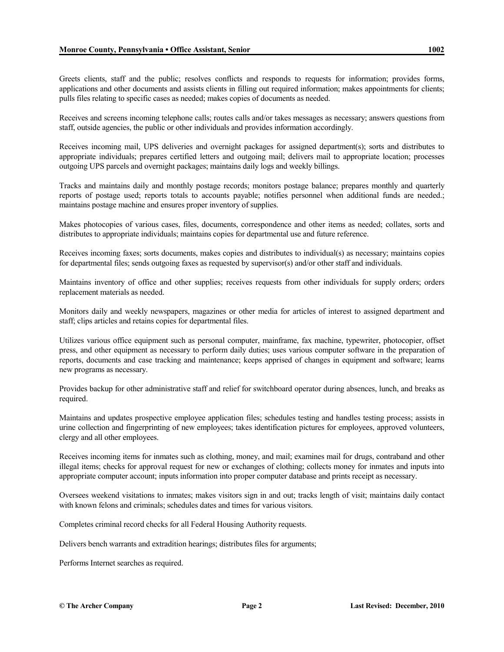Greets clients, staff and the public; resolves conflicts and responds to requests for information; provides forms, applications and other documents and assists clients in filling out required information; makes appointments for clients; pulls files relating to specific cases as needed; makes copies of documents as needed.

Receives and screens incoming telephone calls; routes calls and/or takes messages as necessary; answers questions from staff, outside agencies, the public or other individuals and provides information accordingly.

Receives incoming mail, UPS deliveries and overnight packages for assigned department(s); sorts and distributes to appropriate individuals; prepares certified letters and outgoing mail; delivers mail to appropriate location; processes outgoing UPS parcels and overnight packages; maintains daily logs and weekly billings.

Tracks and maintains daily and monthly postage records; monitors postage balance; prepares monthly and quarterly reports of postage used; reports totals to accounts payable; notifies personnel when additional funds are needed.; maintains postage machine and ensures proper inventory of supplies.

Makes photocopies of various cases, files, documents, correspondence and other items as needed; collates, sorts and distributes to appropriate individuals; maintains copies for departmental use and future reference.

Receives incoming faxes; sorts documents, makes copies and distributes to individual(s) as necessary; maintains copies for departmental files; sends outgoing faxes as requested by supervisor(s) and/or other staff and individuals.

Maintains inventory of office and other supplies; receives requests from other individuals for supply orders; orders replacement materials as needed.

Monitors daily and weekly newspapers, magazines or other media for articles of interest to assigned department and staff; clips articles and retains copies for departmental files.

Utilizes various office equipment such as personal computer, mainframe, fax machine, typewriter, photocopier, offset press, and other equipment as necessary to perform daily duties; uses various computer software in the preparation of reports, documents and case tracking and maintenance; keeps apprised of changes in equipment and software; learns new programs as necessary.

Provides backup for other administrative staff and relief for switchboard operator during absences, lunch, and breaks as required.

Maintains and updates prospective employee application files; schedules testing and handles testing process; assists in urine collection and fingerprinting of new employees; takes identification pictures for employees, approved volunteers, clergy and all other employees.

Receives incoming items for inmates such as clothing, money, and mail; examines mail for drugs, contraband and other illegal items; checks for approval request for new or exchanges of clothing; collects money for inmates and inputs into appropriate computer account; inputs information into proper computer database and prints receipt as necessary.

Oversees weekend visitations to inmates; makes visitors sign in and out; tracks length of visit; maintains daily contact with known felons and criminals; schedules dates and times for various visitors.

Completes criminal record checks for all Federal Housing Authority requests.

Delivers bench warrants and extradition hearings; distributes files for arguments;

Performs Internet searches as required.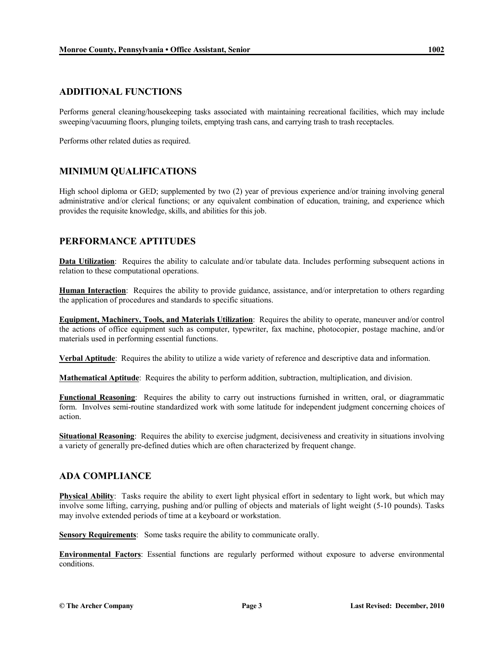#### **ADDITIONAL FUNCTIONS**

Performs general cleaning/housekeeping tasks associated with maintaining recreational facilities, which may include sweeping/vacuuming floors, plunging toilets, emptying trash cans, and carrying trash to trash receptacles.

Performs other related duties as required.

## **MINIMUM QUALIFICATIONS**

High school diploma or GED; supplemented by two (2) year of previous experience and/or training involving general administrative and/or clerical functions; or any equivalent combination of education, training, and experience which provides the requisite knowledge, skills, and abilities for this job.

# **PERFORMANCE APTITUDES**

**Data Utilization**: Requires the ability to calculate and/or tabulate data. Includes performing subsequent actions in relation to these computational operations.

**Human Interaction**: Requires the ability to provide guidance, assistance, and/or interpretation to others regarding the application of procedures and standards to specific situations.

**Equipment, Machinery, Tools, and Materials Utilization**: Requires the ability to operate, maneuver and/or control the actions of office equipment such as computer, typewriter, fax machine, photocopier, postage machine, and/or materials used in performing essential functions.

**Verbal Aptitude**: Requires the ability to utilize a wide variety of reference and descriptive data and information.

**Mathematical Aptitude**: Requires the ability to perform addition, subtraction, multiplication, and division.

**Functional Reasoning**: Requires the ability to carry out instructions furnished in written, oral, or diagrammatic form. Involves semi-routine standardized work with some latitude for independent judgment concerning choices of action.

**Situational Reasoning:** Requires the ability to exercise judgment, decisiveness and creativity in situations involving a variety of generally pre-defined duties which are often characterized by frequent change.

## **ADA COMPLIANCE**

**Physical Ability**: Tasks require the ability to exert light physical effort in sedentary to light work, but which may involve some lifting, carrying, pushing and/or pulling of objects and materials of light weight (5-10 pounds). Tasks may involve extended periods of time at a keyboard or workstation.

**Sensory Requirements**: Some tasks require the ability to communicate orally.

**Environmental Factors**: Essential functions are regularly performed without exposure to adverse environmental conditions.